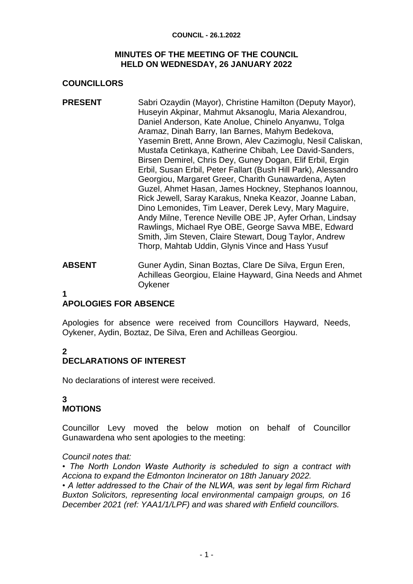#### **COUNCIL - 26.1.2022**

### **MINUTES OF THE MEETING OF THE COUNCIL HELD ON WEDNESDAY, 26 JANUARY 2022**

### **COUNCILLORS**

- **PRESENT** Sabri Ozaydin (Mayor), Christine Hamilton (Deputy Mayor), Huseyin Akpinar, Mahmut Aksanoglu, Maria Alexandrou, Daniel Anderson, Kate Anolue, Chinelo Anyanwu, Tolga Aramaz, Dinah Barry, Ian Barnes, Mahym Bedekova, Yasemin Brett, Anne Brown, Alev Cazimoglu, Nesil Caliskan, Mustafa Cetinkaya, Katherine Chibah, Lee David-Sanders, Birsen Demirel, Chris Dey, Guney Dogan, Elif Erbil, Ergin Erbil, Susan Erbil, Peter Fallart (Bush Hill Park), Alessandro Georgiou, Margaret Greer, Charith Gunawardena, Ayten Guzel, Ahmet Hasan, James Hockney, Stephanos Ioannou, Rick Jewell, Saray Karakus, Nneka Keazor, Joanne Laban, Dino Lemonides, Tim Leaver, Derek Levy, Mary Maguire, Andy Milne, Terence Neville OBE JP, Ayfer Orhan, Lindsay Rawlings, Michael Rye OBE, George Savva MBE, Edward Smith, Jim Steven, Claire Stewart, Doug Taylor, Andrew Thorp, Mahtab Uddin, Glynis Vince and Hass Yusuf
- **ABSENT** Guner Aydin, Sinan Boztas, Clare De Silva, Ergun Eren, Achilleas Georgiou, Elaine Hayward, Gina Needs and Ahmet **Oykener**
- **1**

## **APOLOGIES FOR ABSENCE**

Apologies for absence were received from Councillors Hayward, Needs, Oykener, Aydin, Boztaz, De Silva, Eren and Achilleas Georgiou.

# **2**

## **DECLARATIONS OF INTEREST**

No declarations of interest were received.

### **3 MOTIONS**

Councillor Levy moved the below motion on behalf of Councillor Gunawardena who sent apologies to the meeting:

### *Council notes that:*

*• The North London Waste Authority is scheduled to sign a contract with Acciona to expand the Edmonton Incinerator on 18th January 2022.* 

*• A letter addressed to the Chair of the NLWA, was sent by legal firm Richard Buxton Solicitors, representing local environmental campaign groups, on 16 December 2021 (ref: YAA1/1/LPF) and was shared with Enfield councillors.*